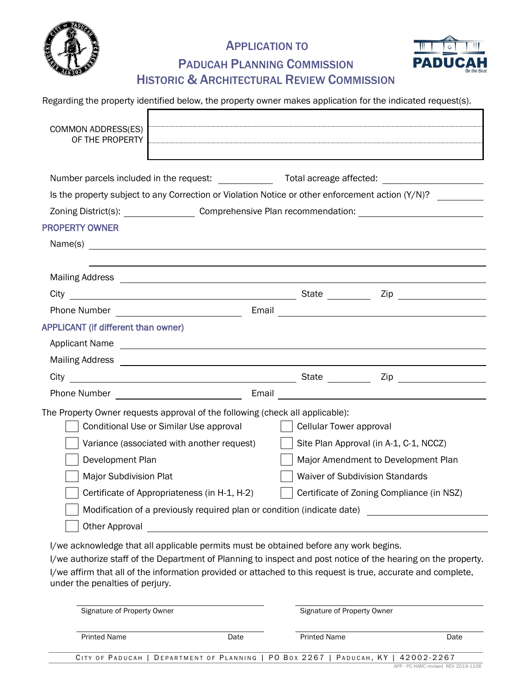

### APPLICATION TO



## PADUCAH PLANNING COMMISSION HISTORIC & ARCHITECTURAL REVIEW COMMISSION

|  |  | Regarding the property identified below, the property owner makes application for the indicated request(s). |
|--|--|-------------------------------------------------------------------------------------------------------------|
|--|--|-------------------------------------------------------------------------------------------------------------|

| <b>COMMON ADDRESS(ES)</b><br>OF THE PROPERTY                                                                   |                                                                                                                                                                                                                                      |  |
|----------------------------------------------------------------------------------------------------------------|--------------------------------------------------------------------------------------------------------------------------------------------------------------------------------------------------------------------------------------|--|
|                                                                                                                | Number parcels included in the request: Total acreage affected:                                                                                                                                                                      |  |
| Is the property subject to any Correction or Violation Notice or other enforcement action (Y/N)?               |                                                                                                                                                                                                                                      |  |
|                                                                                                                | Zoning District(s): Comprehensive Plan recommendation:                                                                                                                                                                               |  |
| <b>PROPERTY OWNER</b>                                                                                          |                                                                                                                                                                                                                                      |  |
|                                                                                                                |                                                                                                                                                                                                                                      |  |
|                                                                                                                |                                                                                                                                                                                                                                      |  |
|                                                                                                                |                                                                                                                                                                                                                                      |  |
|                                                                                                                |                                                                                                                                                                                                                                      |  |
|                                                                                                                |                                                                                                                                                                                                                                      |  |
| <b>APPLICANT (if different than owner)</b>                                                                     |                                                                                                                                                                                                                                      |  |
| Applicant Name                                                                                                 |                                                                                                                                                                                                                                      |  |
|                                                                                                                |                                                                                                                                                                                                                                      |  |
|                                                                                                                |                                                                                                                                                                                                                                      |  |
|                                                                                                                | Phone Number <b>Contract Contract Contract Contract Contract Contract Contract Contract Contract Contract Contract Contract Contract Contract Contract Contract Contract Contract Contract Contract Contract Contract Contract C</b> |  |
| The Property Owner requests approval of the following (check all applicable):                                  |                                                                                                                                                                                                                                      |  |
| Conditional Use or Similar Use approval                                                                        | Cellular Tower approval                                                                                                                                                                                                              |  |
| Variance (associated with another request)                                                                     | Site Plan Approval (in A-1, C-1, NCCZ)                                                                                                                                                                                               |  |
| Development Plan                                                                                               | Major Amendment to Development Plan                                                                                                                                                                                                  |  |
| <b>Major Subdivision Plat</b>                                                                                  | Waiver of Subdivision Standards                                                                                                                                                                                                      |  |
| Certificate of Appropriateness (in H-1, H-2)                                                                   | Certificate of Zoning Compliance (in NSZ)                                                                                                                                                                                            |  |
|                                                                                                                | Modification of a previously required plan or condition (indicate date)                                                                                                                                                              |  |
| Other Approval and the Communication of the Approval and Approval and Approval and Approval and Approval and A |                                                                                                                                                                                                                                      |  |
|                                                                                                                |                                                                                                                                                                                                                                      |  |

I/we acknowledge that all applicable permits must be obtained before any work begins.

I/we authorize staff of the Department of Planning to inspect and post notice of the hearing on the property. I/we affirm that all of the information provided or attached to this request is true, accurate and complete, under the penalties of perjury.

| Signature of Property Owner |      | Signature of Property Owner                                                       |      |
|-----------------------------|------|-----------------------------------------------------------------------------------|------|
| <b>Printed Name</b>         | Date | <b>Printed Name</b>                                                               | Date |
|                             |      | CITY OF PADUCAH   DEPARTMENT OF PLANNING   PO BOX 2267   PADUCAH, KY   42002-2267 |      |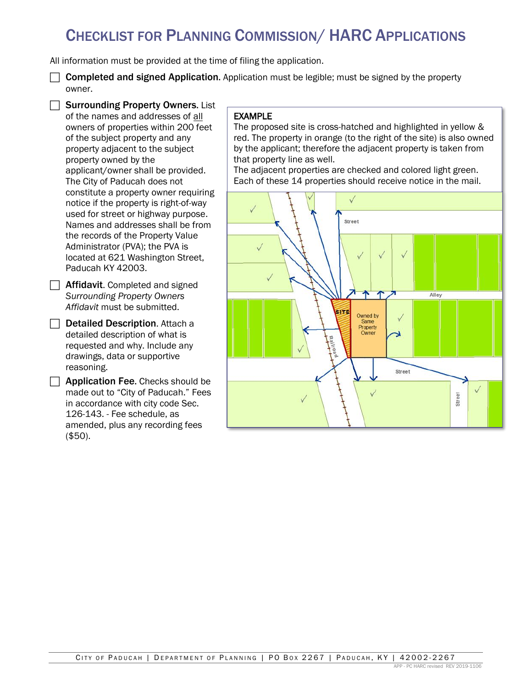# CHECKLIST FOR PLANNING COMMISSION/ HARC APPLICATIONS

All information must be provided at the time of filing the application.

 $\Box$  Completed and signed Application. Application must be legible; must be signed by the property owner.

 $\Box$  Surrounding Property Owners. List of the names and addresses of all owners of properties within 200 feet of the subject property and any property adjacent to the subject property owned by the applicant/owner shall be provided. The City of Paducah does not constitute a property owner requiring notice if the property is right-of-way used for street or highway purpose. Names and addresses shall be from the records of the Property Value Administrator (PVA); the PVA is located at 621 Washington Street, Paducah KY 42003.

- $\Box$  Affidavit. Completed and signed *Surrounding Property Owners Affidavit* must be submitted.
- $\Box$  Detailed Description. Attach a detailed description of what is requested and why. Include any drawings, data or supportive reasoning.
- $\Box$  Application Fee. Checks should be made out to "City of Paducah." Fees in accordance with city code Sec. 126-143. - Fee schedule, as amended, plus any recording fees (\$50).

### EXAMPLE

The proposed site is cross-hatched and highlighted in yellow & red. The property in orange (to the right of the site) is also owned by the applicant; therefore the adjacent property is taken from that property line as well.

The adjacent properties are checked and colored light green. Each of these 14 properties should receive notice in the mail.

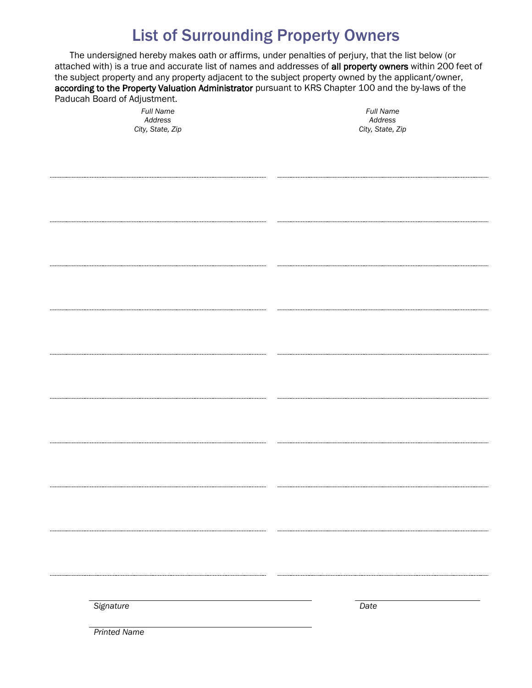# List of Surrounding Property Owners

The undersigned hereby makes oath or affirms, under penalties of perjury, that the list below (or attached with) is a true and accurate list of names and addresses of all property owners within 200 feet of the subject property and any property adjacent to the subject property owned by the applicant/owner, according to the Property Valuation Administrator pursuant to KRS Chapter 100 and the by-laws of the Paducah Board of Adjustment.

> *Full Name Address City, State, Zip*

*Full Name Address City, State, Zip*

*Signature Date*

*Printed Name*